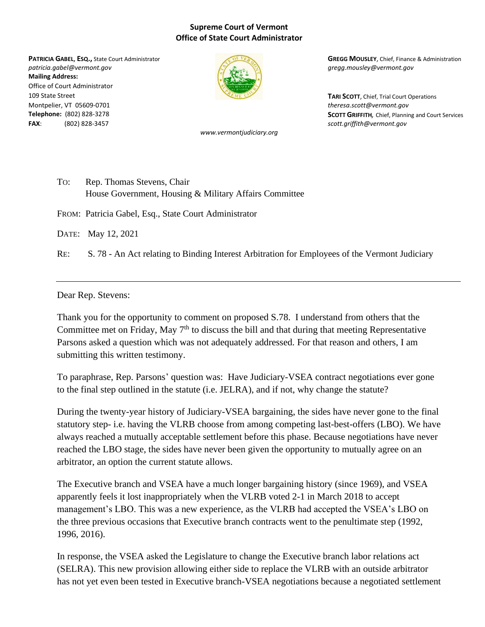## **Supreme Court of Vermont Office of State Court Administrator**

*patricia.gabel@vermont.gov gregg.mousley@vermont.gov* **Mailing Address:** Office of Court Administrator 109 State Street **TARI SCOTT**, Chief, Trial Court Operations Montpelier, VT 05609-0701 *theresa.scott@vermont.gov* **FAX**: (802) 828-3457 *scott.griffith@vermont.gov*



*www.vermontjudiciary.org*

**PATRICIA GABEL, ESQ.,** State Court Administrator **GREGG MOUSLEY**, Chief, Finance & Administration

**Telephone:** (802) 828-3278 **SCOTT GRIFFITH***,* Chief, Planning and Court Services

TO: Rep. Thomas Stevens, Chair House Government, Housing & Military Affairs Committee

FROM: Patricia Gabel, Esq., State Court Administrator

DATE: May 12, 2021

RE: S. 78 - An Act relating to Binding Interest Arbitration for Employees of the Vermont Judiciary

Dear Rep. Stevens:

Thank you for the opportunity to comment on proposed S.78. I understand from others that the Committee met on Friday, May  $7<sup>th</sup>$  to discuss the bill and that during that meeting Representative Parsons asked a question which was not adequately addressed. For that reason and others, I am submitting this written testimony.

To paraphrase, Rep. Parsons' question was: Have Judiciary-VSEA contract negotiations ever gone to the final step outlined in the statute (i.e. JELRA), and if not, why change the statute?

During the twenty-year history of Judiciary-VSEA bargaining, the sides have never gone to the final statutory step- i.e. having the VLRB choose from among competing last-best-offers (LBO). We have always reached a mutually acceptable settlement before this phase. Because negotiations have never reached the LBO stage, the sides have never been given the opportunity to mutually agree on an arbitrator, an option the current statute allows.

The Executive branch and VSEA have a much longer bargaining history (since 1969), and VSEA apparently feels it lost inappropriately when the VLRB voted 2-1 in March 2018 to accept management's LBO. This was a new experience, as the VLRB had accepted the VSEA's LBO on the three previous occasions that Executive branch contracts went to the penultimate step (1992, 1996, 2016).

In response, the VSEA asked the Legislature to change the Executive branch labor relations act (SELRA). This new provision allowing either side to replace the VLRB with an outside arbitrator has not yet even been tested in Executive branch-VSEA negotiations because a negotiated settlement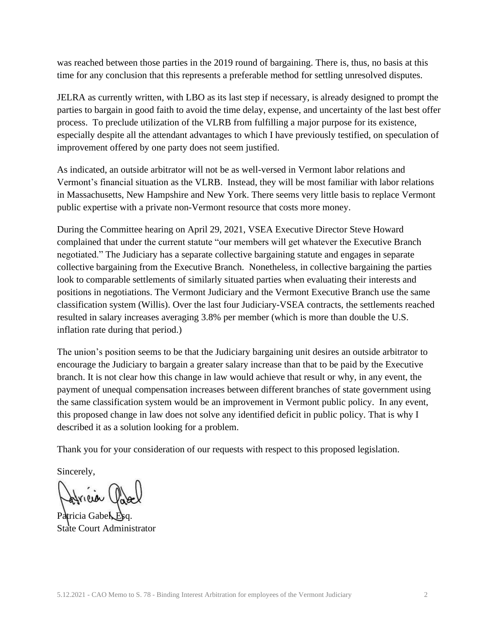was reached between those parties in the 2019 round of bargaining. There is, thus, no basis at this time for any conclusion that this represents a preferable method for settling unresolved disputes.

JELRA as currently written, with LBO as its last step if necessary, is already designed to prompt the parties to bargain in good faith to avoid the time delay, expense, and uncertainty of the last best offer process. To preclude utilization of the VLRB from fulfilling a major purpose for its existence, especially despite all the attendant advantages to which I have previously testified, on speculation of improvement offered by one party does not seem justified.

As indicated, an outside arbitrator will not be as well-versed in Vermont labor relations and Vermont's financial situation as the VLRB. Instead, they will be most familiar with labor relations in Massachusetts, New Hampshire and New York. There seems very little basis to replace Vermont public expertise with a private non-Vermont resource that costs more money.

During the Committee hearing on April 29, 2021, VSEA Executive Director Steve Howard complained that under the current statute "our members will get whatever the Executive Branch negotiated." The Judiciary has a separate collective bargaining statute and engages in separate collective bargaining from the Executive Branch. Nonetheless, in collective bargaining the parties look to comparable settlements of similarly situated parties when evaluating their interests and positions in negotiations. The Vermont Judiciary and the Vermont Executive Branch use the same classification system (Willis). Over the last four Judiciary-VSEA contracts, the settlements reached resulted in salary increases averaging 3.8% per member (which is more than double the U.S. inflation rate during that period.)

The union's position seems to be that the Judiciary bargaining unit desires an outside arbitrator to encourage the Judiciary to bargain a greater salary increase than that to be paid by the Executive branch. It is not clear how this change in law would achieve that result or why, in any event, the payment of unequal compensation increases between different branches of state government using the same classification system would be an improvement in Vermont public policy. In any event, this proposed change in law does not solve any identified deficit in public policy. That is why I described it as a solution looking for a problem.

Thank you for your consideration of our requests with respect to this proposed legislation.

Sincerely,

Patricia Gabel, Esq. State Court Administrator